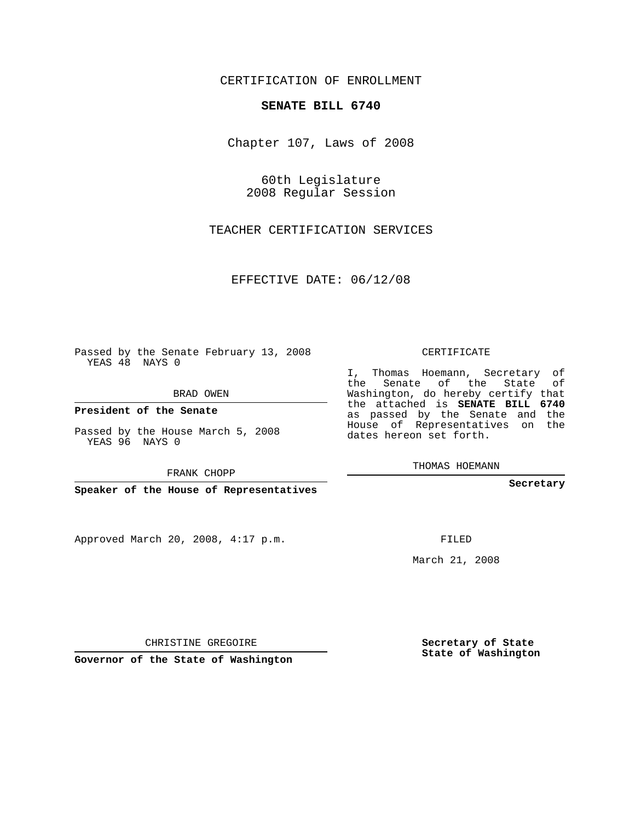CERTIFICATION OF ENROLLMENT

## **SENATE BILL 6740**

Chapter 107, Laws of 2008

60th Legislature 2008 Regular Session

TEACHER CERTIFICATION SERVICES

EFFECTIVE DATE: 06/12/08

Passed by the Senate February 13, 2008 YEAS 48 NAYS 0

BRAD OWEN

**President of the Senate**

Passed by the House March 5, 2008 YEAS 96 NAYS 0

FRANK CHOPP

**Speaker of the House of Representatives**

Approved March 20, 2008, 4:17 p.m.

CERTIFICATE

I, Thomas Hoemann, Secretary of the Senate of the State of Washington, do hereby certify that the attached is **SENATE BILL 6740** as passed by the Senate and the House of Representatives on the dates hereon set forth.

THOMAS HOEMANN

**Secretary**

FILED

March 21, 2008

**Secretary of State State of Washington**

CHRISTINE GREGOIRE

**Governor of the State of Washington**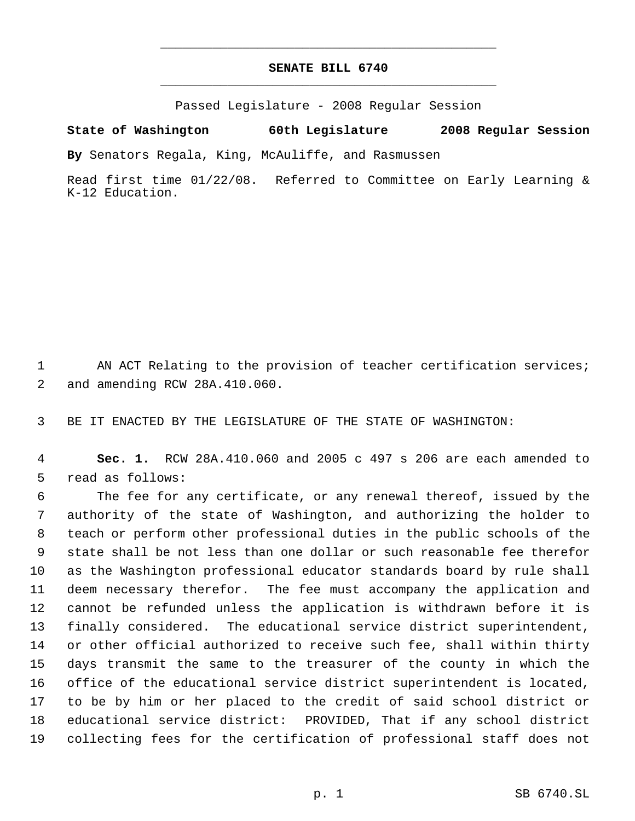## **SENATE BILL 6740** \_\_\_\_\_\_\_\_\_\_\_\_\_\_\_\_\_\_\_\_\_\_\_\_\_\_\_\_\_\_\_\_\_\_\_\_\_\_\_\_\_\_\_\_\_

\_\_\_\_\_\_\_\_\_\_\_\_\_\_\_\_\_\_\_\_\_\_\_\_\_\_\_\_\_\_\_\_\_\_\_\_\_\_\_\_\_\_\_\_\_

Passed Legislature - 2008 Regular Session

**State of Washington 60th Legislature 2008 Regular Session**

**By** Senators Regala, King, McAuliffe, and Rasmussen

Read first time 01/22/08. Referred to Committee on Early Learning & K-12 Education.

1 AN ACT Relating to the provision of teacher certification services; and amending RCW 28A.410.060.

BE IT ENACTED BY THE LEGISLATURE OF THE STATE OF WASHINGTON:

 **Sec. 1.** RCW 28A.410.060 and 2005 c 497 s 206 are each amended to read as follows:

 The fee for any certificate, or any renewal thereof, issued by the authority of the state of Washington, and authorizing the holder to teach or perform other professional duties in the public schools of the state shall be not less than one dollar or such reasonable fee therefor as the Washington professional educator standards board by rule shall deem necessary therefor. The fee must accompany the application and cannot be refunded unless the application is withdrawn before it is finally considered. The educational service district superintendent, or other official authorized to receive such fee, shall within thirty days transmit the same to the treasurer of the county in which the office of the educational service district superintendent is located, to be by him or her placed to the credit of said school district or educational service district: PROVIDED, That if any school district collecting fees for the certification of professional staff does not